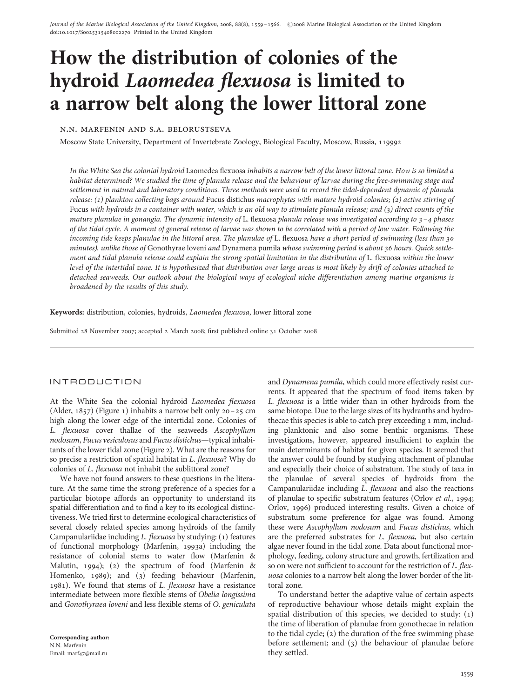# How the distribution of colonies of the hydroid Laomedea flexuosa is limited to a narrow belt along the lower littoral zone

n.n. marfenin and s.a. belorustseva

Moscow State University, Department of Invertebrate Zoology, Biological Faculty, Moscow, Russia, 119992

In the White Sea the colonial hydroid Laomedea flexuosa inhabits a narrow belt of the lower littoral zone. How is so limited a habitat determined? We studied the time of planula release and the behaviour of larvae during the free-swimming stage and settlement in natural and laboratory conditions. Three methods were used to record the tidal-dependent dynamic of planula release: (1) plankton collecting bags around Fucus distichus macrophytes with mature hydroid colonies; (2) active stirring of Fucus with hydroids in a container with water, which is an old way to stimulate planula release; and (3) direct counts of the mature planulae in gonangia. The dynamic intensity of L. flexuosa planula release was investigated according to  $3-4$  phases of the tidal cycle. A moment of general release of larvae was shown to be correlated with a period of low water. Following the incoming tide keeps planulae in the littoral area. The planulae of L. flexuosa have a short period of swimming (less than 30 minutes), unlike those of Gonothyrae loveni and Dynamena pumila whose swimming period is about 36 hours. Quick settlement and tidal planula release could explain the strong spatial limitation in the distribution of L. flexuosa within the lower level of the intertidal zone. It is hypothesized that distribution over large areas is most likely by drift of colonies attached to detached seaweeds. Our outlook about the biological ways of ecological niche differentiation among marine organisms is broadened by the results of this study.

Keywords: distribution, colonies, hydroids, Laomedea flexuosa, lower littoral zone

Submitted 28 November 2007; accepted 2 March 2008; first published online 31 October 2008

## INTRODUCTION

At the White Sea the colonial hydroid Laomedea flexuosa (Alder, 1857) (Figure 1) inhabits a narrow belt only 20–25 cm high along the lower edge of the intertidal zone. Colonies of L. flexuosa cover thallae of the seaweeds Ascophyllum nodosum, Fucus vesiculosus and Fucus distichus—typical inhabitants of the lower tidal zone (Figure 2). What are the reasons for so precise a restriction of spatial habitat in L. flexuosa? Why do colonies of L. flexuosa not inhabit the sublittoral zone?

We have not found answers to these questions in the literature. At the same time the strong preference of a species for a particular biotope affords an opportunity to understand its spatial differentiation and to find a key to its ecological distinctiveness. We tried first to determine ecological characteristics of several closely related species among hydroids of the family Campanulariidae including L. flexuosa by studying: (1) features of functional morphology (Marfenin, 1993a) including the resistance of colonial stems to water flow (Marfenin & Malutin, 1994); (2) the spectrum of food (Marfenin & Homenko, 1989); and (3) feeding behaviour (Marfenin, 1981). We found that stems of L. flexuosa have a resistance intermediate between more flexible stems of Obelia longissima and Gonothyraea loveni and less flexible stems of O. geniculata

Corresponding author: N.N. Marfenin Email: marf47@mail.ru

and Dynamena pumila, which could more effectively resist currents. It appeared that the spectrum of food items taken by L. flexuosa is a little wider than in other hydroids from the same biotope. Due to the large sizes of its hydranths and hydrothecae this species is able to catch prey exceeding 1 mm, including planktonic and also some benthic organisms. These investigations, however, appeared insufficient to explain the main determinants of habitat for given species. It seemed that the answer could be found by studying attachment of planulae and especially their choice of substratum. The study of taxa in the planulae of several species of hydroids from the Campanulariidae including L. flexuosa and also the reactions of planulae to specific substratum features (Orlov et al., 1994; Orlov, 1996) produced interesting results. Given a choice of substratum some preference for algae was found. Among these were Ascophyllum nodosum and Fucus distichus, which are the preferred substrates for L. flexuosa, but also certain algae never found in the tidal zone. Data about functional morphology, feeding, colony structure and growth, fertilization and so on were not sufficient to account for the restriction of L. flexuosa colonies to a narrow belt along the lower border of the littoral zone.

To understand better the adaptive value of certain aspects of reproductive behaviour whose details might explain the spatial distribution of this species, we decided to study: (1) the time of liberation of planulae from gonothecae in relation to the tidal cycle; (2) the duration of the free swimming phase before settlement; and (3) the behaviour of planulae before they settled.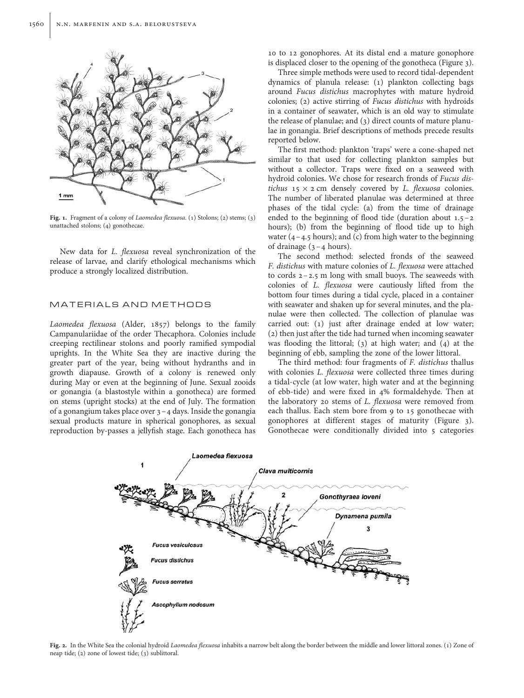

Fig. 1. Fragment of a colony of Laomedea flexuosa. (1) Stolons; (2) stems; (3) unattached stolons; (4) gonothecae.

New data for L. flexuosa reveal synchronization of the release of larvae, and clarify ethological mechanisms which produce a strongly localized distribution.

#### MATERIALS AND METHODS

Laomedea flexuosa (Alder, 1857) belongs to the family Campanulariidae of the order Thecaphora. Colonies include creeping rectilinear stolons and poorly ramified sympodial uprights. In the White Sea they are inactive during the greater part of the year, being without hydranths and in growth diapause. Growth of a colony is renewed only during May or even at the beginning of June. Sexual zooids or gonangia (a blastostyle within a gonotheca) are formed on stems (upright stocks) at the end of July. The formation of a gonangium takes place over 3–4 days. Inside the gonangia sexual products mature in spherical gonophores, as sexual reproduction by-passes a jellyfish stage. Each gonotheca has

10 to 12 gonophores. At its distal end a mature gonophore is displaced closer to the opening of the gonotheca (Figure 3).

Three simple methods were used to record tidal-dependent dynamics of planula release: (1) plankton collecting bags around Fucus distichus macrophytes with mature hydroid colonies; (2) active stirring of Fucus distichus with hydroids in a container of seawater, which is an old way to stimulate the release of planulae; and (3) direct counts of mature planulae in gonangia. Brief descriptions of methods precede results reported below.

The first method: plankton 'traps' were a cone-shaped net similar to that used for collecting plankton samples but without a collector. Traps were fixed on a seaweed with hydroid colonies. We chose for research fronds of Fucus distichus  $15 \times 2$  cm densely covered by *L. flexuosa* colonies. The number of liberated planulae was determined at three phases of the tidal cycle: (a) from the time of drainage ended to the beginning of flood tide (duration about  $1.5 - 2$ ) hours); (b) from the beginning of flood tide up to high water  $(4-4.5$  hours); and (c) from high water to the beginning of drainage  $(3 - 4$  hours).

The second method: selected fronds of the seaweed F. distichus with mature colonies of L. flexuosa were attached to cords  $2 - 2.5$  m long with small buoys. The seaweeds with colonies of L. flexuosa were cautiously lifted from the bottom four times during a tidal cycle, placed in a container with seawater and shaken up for several minutes, and the planulae were then collected. The collection of planulae was carried out: (1) just after drainage ended at low water; (2) then just after the tide had turned when incoming seawater was flooding the littoral; (3) at high water; and (4) at the beginning of ebb, sampling the zone of the lower littoral.

The third method: four fragments of F. distichus thallus with colonies L. flexuosa were collected three times during a tidal-cycle (at low water, high water and at the beginning of ebb-tide) and were fixed in 4% formaldehyde. Then at the laboratory 20 stems of L. flexuosa were removed from each thallus. Each stem bore from 9 to 15 gonothecae with gonophores at different stages of maturity (Figure 3). Gonothecae were conditionally divided into 5 categories



Fig. 2. In the White Sea the colonial hydroid Laomedea flexuosa inhabits a narrow belt along the border between the middle and lower littoral zones. (1) Zone of neap tide; (2) zone of lowest tide; (3) sublittoral.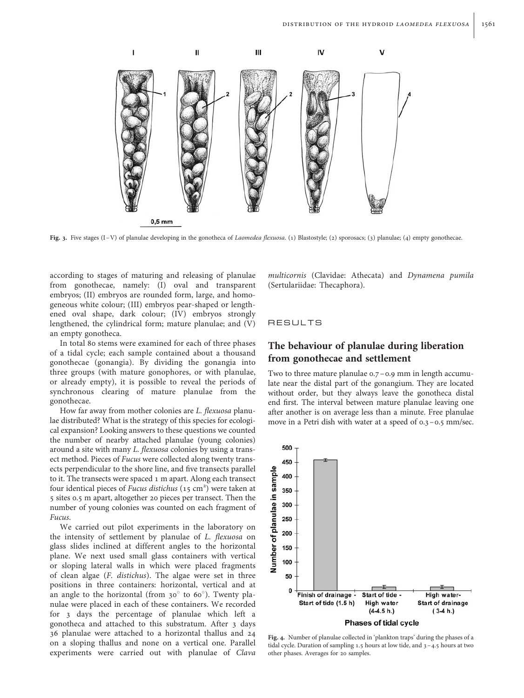

Fig. 3. Five stages  $(I - V)$  of planulae developing in the gonotheca of Laomedea flexuosa. (1) Blastostyle; (2) sporosacs; (3) planulae; (4) empty gonothecae.

according to stages of maturing and releasing of planulae from gonothecae, namely: (I) oval and transparent embryos; (II) embryos are rounded form, large, and homogeneous white colour; (III) embryos pear-shaped or lengthened oval shape, dark colour; (IV) embryos strongly lengthened, the cylindrical form; mature planulae; and (V) an empty gonotheca.

In total 80 stems were examined for each of three phases of a tidal cycle; each sample contained about a thousand gonothecae (gonangia). By dividing the gonangia into three groups (with mature gonophores, or with planulae, or already empty), it is possible to reveal the periods of synchronous clearing of mature planulae from the gonothecae.

How far away from mother colonies are L. flexuosa planulae distributed? What is the strategy of this species for ecological expansion? Looking answers to these questions we counted the number of nearby attached planulae (young colonies) around a site with many L. flexuosa colonies by using a transect method. Pieces of Fucus were collected along twenty transects perpendicular to the shore line, and five transects parallel to it. The transects were spaced 1 m apart. Along each transect four identical pieces of Fucus distichus  $(15 \text{ cm}^2)$  were taken at 5 sites 0.5 m apart, altogether 20 pieces per transect. Then the number of young colonies was counted on each fragment of Fucus.

We carried out pilot experiments in the laboratory on the intensity of settlement by planulae of L. flexuosa on glass slides inclined at different angles to the horizontal plane. We next used small glass containers with vertical or sloping lateral walls in which were placed fragments of clean algae (F. distichus). The algae were set in three positions in three containers: horizontal, vertical and at an angle to the horizontal (from  $30^\circ$  to  $60^\circ$ ). Twenty planulae were placed in each of these containers. We recorded for 3 days the percentage of planulae which left a gonotheca and attached to this substratum. After 3 days 36 planulae were attached to a horizontal thallus and 24 on a sloping thallus and none on a vertical one. Parallel experiments were carried out with planulae of Clava multicornis (Clavidae: Athecata) and Dynamena pumila (Sertulariidae: Thecaphora).

## RESULTS

## The behaviour of planulae during liberation from gonothecae and settlement

Two to three mature planulae 0.7–0.9 mm in length accumulate near the distal part of the gonangium. They are located without order, but they always leave the gonotheca distal end first. The interval between mature planulae leaving one after another is on average less than a minute. Free planulae move in a Petri dish with water at a speed of 0.3–0.5 mm/sec.



Fig. 4. Number of planulae collected in 'plankton traps' during the phases of a tidal cycle. Duration of sampling 1.5 hours at low tide, and 3 –4.5 hours at two other phases. Averages for 20 samples.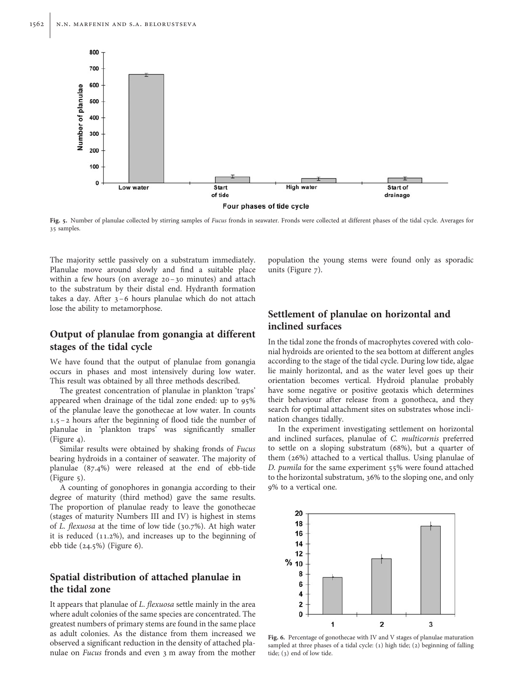

Fig. 5. Number of planulae collected by stirring samples of Fucus fronds in seawater. Fronds were collected at different phases of the tidal cycle. Averages for 35 samples.

The majority settle passively on a substratum immediately. Planulae move around slowly and find a suitable place within a few hours (on average 20–30 minutes) and attach to the substratum by their distal end. Hydranth formation takes a day. After 3–6 hours planulae which do not attach lose the ability to metamorphose.

## Output of planulae from gonangia at different stages of the tidal cycle

We have found that the output of planulae from gonangia occurs in phases and most intensively during low water. This result was obtained by all three methods described.

The greatest concentration of planulae in plankton 'traps' appeared when drainage of the tidal zone ended: up to 95% of the planulae leave the gonothecae at low water. In counts 1.5–2 hours after the beginning of flood tide the number of planulae in 'plankton traps' was significantly smaller (Figure 4).

Similar results were obtained by shaking fronds of Fucus bearing hydroids in a container of seawater. The majority of planulae (87.4%) were released at the end of ebb-tide (Figure 5).

A counting of gonophores in gonangia according to their degree of maturity (third method) gave the same results. The proportion of planulae ready to leave the gonothecae (stages of maturity Numbers III and IV) is highest in stems of L. flexuosa at the time of low tide (30.7%). At high water it is reduced (11.2%), and increases up to the beginning of ebb tide (24.5%) (Figure 6).

# Spatial distribution of attached planulae in the tidal zone

It appears that planulae of L. flexuosa settle mainly in the area where adult colonies of the same species are concentrated. The greatest numbers of primary stems are found in the same place as adult colonies. As the distance from them increased we observed a significant reduction in the density of attached planulae on Fucus fronds and even 3 m away from the mother

population the young stems were found only as sporadic units (Figure 7).

# Settlement of planulae on horizontal and inclined surfaces

In the tidal zone the fronds of macrophytes covered with colonial hydroids are oriented to the sea bottom at different angles according to the stage of the tidal cycle. During low tide, algae lie mainly horizontal, and as the water level goes up their orientation becomes vertical. Hydroid planulae probably have some negative or positive geotaxis which determines their behaviour after release from a gonotheca, and they search for optimal attachment sites on substrates whose inclination changes tidally.

In the experiment investigating settlement on horizontal and inclined surfaces, planulae of C. multicornis preferred to settle on a sloping substratum (68%), but a quarter of them (26%) attached to a vertical thallus. Using planulae of D. pumila for the same experiment 55% were found attached to the horizontal substratum, 36% to the sloping one, and only 9% to a vertical one.



Fig. 6. Percentage of gonothecae with IV and V stages of planulae maturation sampled at three phases of a tidal cycle: (1) high tide; (2) beginning of falling tide; (3) end of low tide.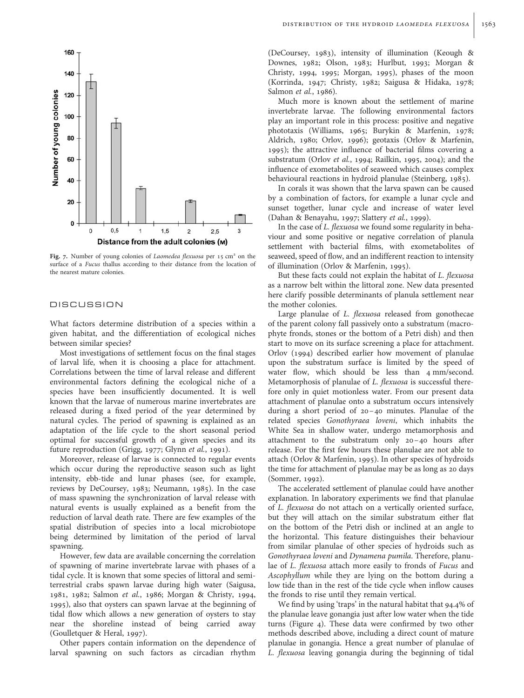

Fig. 7. Number of young colonies of Laomedea flexuosa per 15 cm<sup>2</sup> on the surface of a Fucus thallus according to their distance from the location of the nearest mature colonies.

#### **DISCUSSION**

What factors determine distribution of a species within a given habitat, and the differentiation of ecological niches between similar species?

Most investigations of settlement focus on the final stages of larval life, when it is choosing a place for attachment. Correlations between the time of larval release and different environmental factors defining the ecological niche of a species have been insufficiently documented. It is well known that the larvae of numerous marine invertebrates are released during a fixed period of the year determined by natural cycles. The period of spawning is explained as an adaptation of the life cycle to the short seasonal period optimal for successful growth of a given species and its future reproduction (Grigg, 1977; Glynn et al., 1991).

Moreover, release of larvae is connected to regular events which occur during the reproductive season such as light intensity, ebb-tide and lunar phases (see, for example, reviews by DeCoursey, 1983; Neumann, 1985). In the case of mass spawning the synchronization of larval release with natural events is usually explained as a benefit from the reduction of larval death rate. There are few examples of the spatial distribution of species into a local microbiotope being determined by limitation of the period of larval spawning.

However, few data are available concerning the correlation of spawning of marine invertebrate larvae with phases of a tidal cycle. It is known that some species of littoral and semiterrestrial crabs spawn larvae during high water (Saigusa, 1981, 1982; Salmon et al., 1986; Morgan & Christy, 1994, 1995), also that oysters can spawn larvae at the beginning of tidal flow which allows a new generation of oysters to stay near the shoreline instead of being carried away (Goulletquer & Heral, 1997).

Other papers contain information on the dependence of larval spawning on such factors as circadian rhythm

(DeCoursey, 1983), intensity of illumination (Keough & Downes, 1982; Olson, 1983; Hurlbut, 1993; Morgan & Christy, 1994, 1995; Morgan, 1995), phases of the moon (Korrinda, 1947; Christy, 1982; Saigusa & Hidaka, 1978; Salmon et al., 1986).

Much more is known about the settlement of marine invertebrate larvae. The following environmental factors play an important role in this process: positive and negative phototaxis (Williams, 1965; Burykin & Marfenin, 1978; Aldrich, 1980; Orlov, 1996); geotaxis (Orlov & Marfenin, 1995); the attractive influence of bacterial films covering a substratum (Orlov et al., 1994; Railkin, 1995, 2004); and the influence of exometabolites of seaweed which causes complex behavioural reactions in hydroid planulae (Steinberg, 1985).

In corals it was shown that the larva spawn can be caused by a combination of factors, for example a lunar cycle and sunset together, lunar cycle and increase of water level (Dahan & Benayahu, 1997; Slattery et al., 1999).

In the case of L. flexuosa we found some regularity in behaviour and some positive or negative correlation of planula settlement with bacterial films, with exometabolites of seaweed, speed of flow, and an indifferent reaction to intensity of illumination (Orlov & Marfenin, 1995).

But these facts could not explain the habitat of L. flexuosa as a narrow belt within the littoral zone. New data presented here clarify possible determinants of planula settlement near the mother colonies.

Large planulae of L. flexuosa released from gonothecae of the parent colony fall passively onto a substratum (macrophyte fronds, stones or the bottom of a Petri dish) and then start to move on its surface screening a place for attachment. Orlov (1994) described earlier how movement of planulae upon the substratum surface is limited by the speed of water flow, which should be less than 4 mm/second. Metamorphosis of planulae of L. flexuosa is successful therefore only in quiet motionless water. From our present data attachment of planulae onto a substratum occurs intensively during a short period of 20 –40 minutes. Planulae of the related species Gonothyraea loveni, which inhabits the White Sea in shallow water, undergo metamorphosis and attachment to the substratum only 20 –40 hours after release. For the first few hours these planulae are not able to attach (Orlov & Marfenin, 1995). In other species of hydroids the time for attachment of planulae may be as long as 20 days (Sommer, 1992).

The accelerated settlement of planulae could have another explanation. In laboratory experiments we find that planulae of L. flexuosa do not attach on a vertically oriented surface, but they will attach on the similar substratum either flat on the bottom of the Petri dish or inclined at an angle to the horizontal. This feature distinguishes their behaviour from similar planulae of other species of hydroids such as Gonothyraea loveni and Dynamena pumila. Therefore, planulae of L. flexuosa attach more easily to fronds of Fucus and Ascophyllum while they are lying on the bottom during a low tide than in the rest of the tide cycle when inflow causes the fronds to rise until they remain vertical.

We find by using 'traps' in the natural habitat that 94.4% of the planulae leave gonangia just after low water when the tide turns (Figure 4). These data were confirmed by two other methods described above, including a direct count of mature planulae in gonangia. Hence a great number of planulae of L. flexuosa leaving gonangia during the beginning of tidal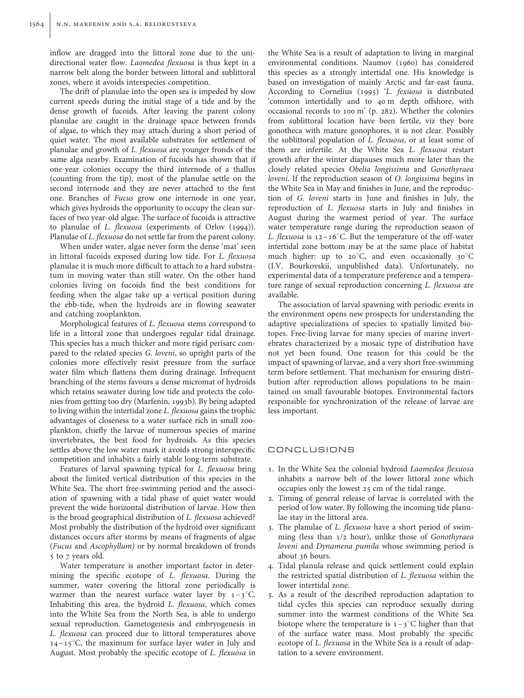inflow are dragged into the littoral zone due to the unidirectional water flow. Laomedea flexuosa is thus kept in a narrow belt along the border between littoral and sublittoral zones, where it avoids interspecies competition.

The drift of planulae into the open sea is impeded by slow current speeds during the initial stage of a tide and by the dense growth of fucoids. After leaving the parent colony planulae are caught in the drainage space between fronds of algae, to which they may attach during a short period of quiet water. The most available substrates for settlement of planulae and growth of L. flexuosa are younger fronds of the same alga nearby. Examination of fucoids has shown that if one-year colonies occupy the third internode of a thallus (counting from the tip), most of the planulae settle on the second internode and they are never attached to the first one. Branches of Fucus grow one internode in one year, which gives hydroids the opportunity to occupy the clean surfaces of two year-old algae. The surface of fucoids is attractive to planulae of L. flexuosa (experiments of Orlov (1994)). Planulae of L. flexuosa do not settle far from the parent colony.

When under water, algae never form the dense 'mat' seen in littoral fucoids exposed during low tide. For L. flexuosa planulae it is much more difficult to attach to a hard substratum in moving water than still water. On the other hand colonies living on fucoids find the best conditions for feeding when the algae take up a vertical position during the ebb-tide, when the hydroids are in flowing seawater and catching zooplankton.

Morphological features of L. flexuosa stems correspond to life in a littoral zone that undergoes regular tidal drainage. This species has a much thicker and more rigid perisarc compared to the related species G. loveni, so upright parts of the colonies more effectively resist pressure from the surface water film which flattens them during drainage. Infrequent branching of the stems favours a dense micromat of hydroids which retains seawater during low tide and protects the colonies from getting too dry (Marfenin, 1993b). By being adapted to living within the intertidal zone L. flexuosa gains the trophic advantages of closeness to a water surface rich in small zooplankton, chiefly the larvae of numerous species of marine invertebrates, the best food for hydroids. As this species settles above the low water mark it avoids strong interspecific competition and inhabits a fairly stable long-term substrate.

Features of larval spawning typical for L. flexuosa bring about the limited vertical distribution of this species in the White Sea. The short free-swimming period and the association of spawning with a tidal phase of quiet water would prevent the wide horizontal distribution of larvae. How then is the broad geographical distribution of L. flexuosa achieved? Most probably the distribution of the hydroid over significant distances occurs after storms by means of fragments of algae (Fucus and Ascophyllum) or by normal breakdown of fronds 5 to 7 years old.

Water temperature is another important factor in determining the specific ecotope of L. flexuosa. During the summer, water covering the littoral zone periodically is warmer than the nearest surface water layer by  $1-3^{\circ}C$ . Inhabiting this area, the hydroid L. flexuosa, which comes into the White Sea from the North Sea, is able to undergo sexual reproduction. Gametogenesis and embryogenesis in L. flexuosa can proceed due to littoral temperatures above  $14 - 15^{\circ}$ C, the maximum for surface layer water in July and August. Most probably the specific ecotope of L. flexuosa in

the White Sea is a result of adaptation to living in marginal environmental conditions. Naumov (1960) has considered this species as a strongly intertidal one. His knowledge is based on investigation of mainly Arctic and far-east fauna. According to Cornelius (1995) 'L. fexuosa is distributed 'common intertidally and to 40 m depth offshore, with occasional records to 100 m' (p. 282). Whether the colonies from sublittoral location have been fertile, viz they bore gonotheca with mature gonophores, it is not clear. Possibly the sublittoral population of L. flexuosa, or at least some of them are infertile. At the White Sea L. flexuosa restart growth after the winter diapauses much more later than the closely related species Obelia longissima and Gonothyraea loveni. If the reproduction season of O. longissima begins in the White Sea in May and finishes in June, and the reproduction of G. loveni starts in June and finishes in July, the reproduction of L. flexuosa starts in July and finishes in August during the warmest period of year. The surface water temperature range during the reproduction season of L. flexuosa is  $12 - 16^{\circ}$ C. But the temperature of the off-water intertidal zone bottom may be at the same place of habitat much higher: up to  $20^{\circ}$ C, and even occasionally  $30^{\circ}$ C (I.V. Bourkovskii, unpublished data). Unfortunately, no experimental data of a temperature preference and a temperature range of sexual reproduction concerning L. flexuosa are available.

The association of larval spawning with periodic events in the environment opens new prospects for understanding the adaptive specializations of species to spatially limited biotopes. Free-living larvae for many species of marine invertebrates characterized by a mosaic type of distribution have not yet been found. One reason for this could be the impact of spawning of larvae, and a very short free-swimming term before settlement. That mechanism for ensuring distribution after reproduction allows populations to be maintained on small favourable biotopes. Environmental factors responsible for synchronization of the release of larvae are less important.

## CONCLUSIONS

- 1. In the White Sea the colonial hydroid Laomedea flexuosa inhabits a narrow belt of the lower littoral zone which occupies only the lowest 25 cm of the tidal range.
- 2. Timing of general release of larvae is correlated with the period of low water. By following the incoming tide planulae stay in the littoral area.
- 3. The planulae of L. flexuosa have a short period of swimming (less than 1/2 hour), unlike those of Gonothyraea loveni and Dynamena pumila whose swimming period is about 36 hours.
- 4. Tidal planula release and quick settlement could explain the restricted spatial distribution of L. flexuosa within the lower intertidal zone.
- 5. As a result of the described reproduction adaptation to tidal cycles this species can reproduce sexually during summer into the warmest conditions of the White Sea biotope where the temperature is  $1 - 3$ °C higher than that of the surface water mass. Most probably the specific ecotope of L. flexuosa in the White Sea is a result of adaptation to a severe environment.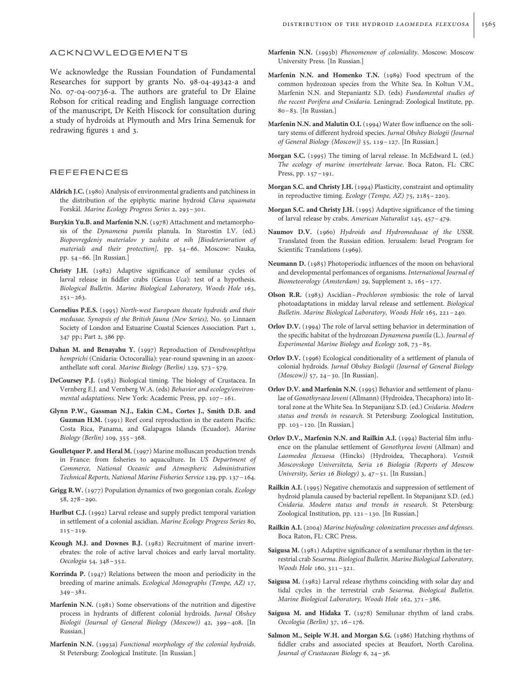#### ACKNOWLEDGEMENTS

We acknowledge the Russian Foundation of Fundamental Researches for support by grants No. 98-04-49342-a and No. 07-04-00736-a. The authors are grateful to Dr Elaine Robson for critical reading and English language correction of the manuscript, Dr Keith Hiscock for consultation during a study of hydroids at Plymouth and Mrs Irina Semenuk for redrawing figures 1 and 3.

### REFERENCES

- Aldrich J.C. (1980) Analysis of environmental gradients and patchiness in the distribution of the epiphytic marine hydroid Clava squamata Forskål. Marine Ecology Progress Series 2, 293-301.
- Burykin Yu.B. and Marfenin N.N. (1978) Attachment and metamorphosis of the Dynamena pumila planula. In Starostin I.V. (ed.) Biopovregdeniy materialov y zashita ot nih [Biodeterioration of materials and their protection], pp. 54–66. Moscow: Nauka, pp. 54–66. [In Russian.]
- Christy J.H. (1982) Adaptive significance of semilunar cycles of larval release in fiddler crabs (Genus Uca): test of a hypothesis. Biological Bulletin. Marine Biological Laboratory, Woods Hole 163,  $251 - 263$ .
- Cornelius P.E.S. (1995) North-west European thecate hydroids and their medusae. Synopsis of the British fauna (New Series), No. 50 Linnaen Society of London and Estuarine Coastal Sciences Association. Part 1, 347 pp.; Part 2, 386 pp.
- Dahan M. and Benayahu Y. (1997) Reproduction of Dendronephthya hemprichi (Cnidaria: Octocorallia): year-round spawning in an azooxanthellate soft coral. Marine Biology (Berlin) 129, 573–579.
- DeCoursey P.J. (1983) Biological timing. The biology of Crustacea. In Vernberg E.J. and Vernberg W.A. (eds) Behavior and ecology/environmental adaptations. New York: Academic Press, pp. 107–161.
- Glynn P.W., Gassman N.J., Eakin C.M., Cortes J., Smith D.B. and Guzman H.M. (1991) Reef coral reproduction in the eastern Pacific: Costa Rica, Panama, and Galapagos Islands (Ecuador). Marine Biology (Berlin) 109, 355–368.
- Goulletquer P. and Heral M. (1997) Marine molluscan production trends in France: from fisheries to aquaculture. In US Department of Commerce, National Oceanic and Atmospheric Administration Technical Reports, National Marine Fisheries Service 129, pp. 137–164.
- Grigg R.W. (1977) Population dynamics of two gorgonian corals. Ecology 58, 278–290.
- Hurlbut C.J. (1992) Larval release and supply predict temporal variation in settlement of a colonial ascidian. Marine Ecology Progress Series 80,  $215 - 219.$
- Keough M.J. and Downes B.J. (1982) Recruitment of marine invertebrates: the role of active larval choices and early larval mortality. Oecologia 54, 348–352.
- Korrinda P. (1947) Relations between the moon and periodicity in the breeding of marine animals. Ecological Monographs (Tempe, AZ) 17, 349–381.
- Marfenin N.N. (1981) Some observations of the nutrition and digestive process in hydrants of different colonial hydroids. Jurnal Obshey Biologii (Journal of General Biology (Moscow)) 42, 399–408. [In Russian.]
- Marfenin N.N. (1993a) Functional morphology of the colonial hydroids. St Petersburg: Zoological Institute. [In Russian.]
- Marfenin N.N. (1993b) Phenomenon of coloniality. Moscow: Moscow University Press. [In Russian.]
- Marfenin N.N. and Homenko T.N. (1989) Food spectrum of the common hydrozoan species from the White Sea. In Koltun V.M., Marfenin N.N. and Stepaniantz S.D. (eds) Fundamental studies of the recent Porifera and Cnidaria. Leningrad: Zoological Institute, pp. 80–83. [In Russian.]
- Marfenin N.N. and Malutin O.I. (1994) Water flow influence on the solitary stems of different hydroid species. Jurnal Obshey Biologii (Journal of General Biology (Moscow)) 55, 119–127. [In Russian.]
- Morgan S.C. (1995) The timing of larval release. In McEdward L. (ed.) The ecology of marine invertebrate larvae. Boca Raton, FL: CRC Press, pp. 157–191.
- Morgan S.C. and Christy J.H. (1994) Plasticity, constraint and optimality in reproductive timing. Ecology (Tempe, AZ) 75, 2185–2203.
- Morgan S.C. and Christy J.H. (1995) Adaptive significance of the timing of larval release by crabs. American Naturalist 145, 457–479.
- Naumov D.V. (1960) Hydroids and Hydromedusae of the USSR. Translated from the Russian edition. Jerusalem: Israel Program for Scientific Translations (1969).
- Neumann D. (1985) Photoperiodic influences of the moon on behavioral and developmental perfomances of organisms. International Journal of Biometeorology (Amsterdam) 29, Supplement 2, 165–177.
- Olson R.R. (1983) Ascidian–Prochloron symbiosis: the role of larval photoadaptations in midday larval release and settlement. Biological Bulletin. Marine Biological Laboratory, Woods Hole 165, 221–240.
- Orlov D.V. (1994) The role of larval setting behavior in determination of the specific habitat of the hydrozoan Dynamena pumila (L.). Journal of Experimental Marine Biology and Ecology 208, 73–85.
- Orlov D.V. (1996) Ecological conditionality of a settlement of planula of colonial hydroids. Jurnal Obshey Biologii (Journal of General Biology (Moscow)) 57, 24–30. [In Russian].
- Orlov D.V. and Marfenin N.N. (1995) Behavior and settlement of planulae of Gonothyraea loveni (Allmann) (Hydroidea, Thecaphora) into littoral zone at the White Sea. In Stepanijanz S.D. (ed.) Cnidaria. Modern status and trends in research. St Petersburg: Zoological Institution, pp. 103–120. [In Russian.]
- Orlov D.V., Marfenin N.N. and Railkin A.I. (1994) Bacterial film influence on the planulae settlement of Gonothyrea loveni (Allman) and Laomedea flexuosa (Hincks) (Hydroidea, Thecaphora). Vestnik Moscovskogo Universiteta, Seria 16 Biologia (Reports of Moscow University, Series 16 Biology) 3, 47–51. [In Russian.]
- Railkin A.I. (1995) Negative chemotaxis and suppression of settlement of hydroid planula caused by bacterial repellent. In Stepanijanz S.D. (ed.) Cnidaria. Modern status and trends in research. St Petersburg: Zoological Institution, pp. 121–130. [In Russian.]
- Railkin A.I. (2004) Marine biofouling: colonization processes and defenses. Boca Raton, FL: CRC Press.
- Saigusa M. (1981) Adaptive significance of a semilunar rhythm in the terrestrial crab Sesarma. Biological Bulletin. Marine Biological Laboratory, Woods Hole 160, 311–321.
- Saigusa M. (1982) Larval release rhythms coinciding with solar day and tidal cycles in the terrestrial crab Sesarma. Biological Bulletin. Marine Biological Laboratory, Woods Hole 162, 371–386.
- Saigusa M. and Hidaka T. (1978) Semilunar rhythm of land crabs. Oecologia (Berlin) 37, 16–176.
- Salmon M., Seiple W.H. and Morgan S.G. (1986) Hatching rhythms of fiddler crabs and associated species at Beaufort, North Carolina. Journal of Crustacean Biology 6, 24–36.